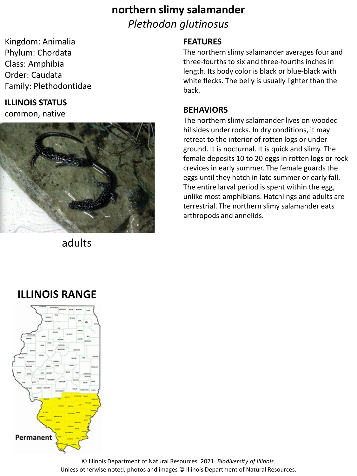## **northern slimy salamander** *Plethodon glutinosus*

Kingdom: Animalia Phylum: Chordata Class: Amphibia Order: Caudata Family: Plethodontidae

#### **ILLINOIS STATUS**

common, native



adults

#### **FEATURES**

The northern slimy salamander averages four and three-fourths to six and three-fourths inches in length. Its body color is black or blue-black with white flecks. The belly is usually lighter than the back.

#### **BEHAVIORS**

The northern slimy salamander lives on wooded hillsides under rocks. In dry conditions, it may retreat to the interior of rotten logs or under ground. It is nocturnal. It is quick and slimy. The female deposits 10 to 20 eggs in rotten logs or rock crevices in early summer. The female guards the eggs until they hatch in late summer or early fall. The entire larval period is spent within the egg, unlike most amphibians. Hatchlings and adults are terrestrial. The northern slimy salamander eats arthropods and annelids.

## **ILLINOIS RANGE**



© Illinois Department of Natural Resources. 2021. *Biodiversity of Illinois*. Unless otherwise noted, photos and images © Illinois Department of Natural Resources.